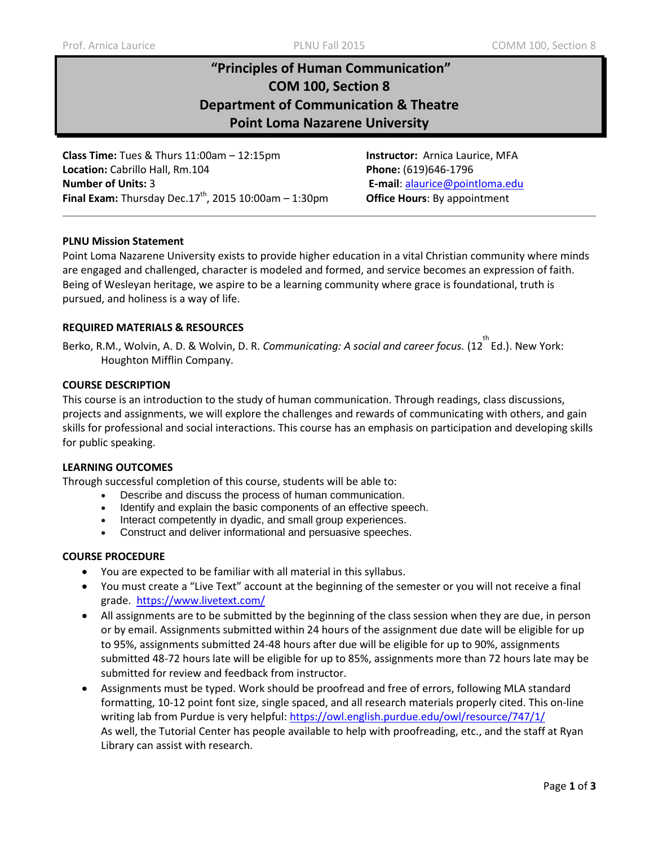# **"Principles of Human Communication" COM 100, Section 8 Department of Communication & Theatre Point Loma Nazarene University**

**Class Time:** Tues & Thurs 11:00am – 12:15pm **Instructor:** Arnica Laurice, MFA **Location:** Cabrillo Hall, Rm.104 **Phone:** (619)646-1796 **Number of Units:** 3 **E-mail**: [alaurice@pointloma.edu](mailto:alaurice@pointloma.edu)  **Final Exam:** Thursday Dec.17<sup>th</sup>, 2015 10:00am – 1:30pm **Office Hours**: By appointment

# **PLNU Mission Statement**

Point Loma Nazarene University exists to provide higher education in a vital Christian community where minds are engaged and challenged, character is modeled and formed, and service becomes an expression of faith. Being of Wesleyan heritage, we aspire to be a learning community where grace is foundational, truth is pursued, and holiness is a way of life.

## **REQUIRED MATERIALS & RESOURCES**

Berko, R.M., Wolvin, A. D. & Wolvin, D. R. *Communicating: A social and career focus.* (12<sup>th</sup> Ed.). New York: Houghton Mifflin Company.

#### **COURSE DESCRIPTION**

This course is an introduction to the study of human communication. Through readings, class discussions, projects and assignments, we will explore the challenges and rewards of communicating with others, and gain skills for professional and social interactions. This course has an emphasis on participation and developing skills for public speaking.

#### **LEARNING OUTCOMES**

Through successful completion of this course, students will be able to:

- Describe and discuss the process of human communication.
- Identify and explain the basic components of an effective speech.
- Interact competently in dyadic, and small group experiences.
- Construct and deliver informational and persuasive speeches.

#### **COURSE PROCEDURE**

- You are expected to be familiar with all material in this syllabus.
- You must create a "Live Text" account at the beginning of the semester or you will not receive a final grade. <https://www.livetext.com/>
- All assignments are to be submitted by the beginning of the class session when they are due, in person or by email. Assignments submitted within 24 hours of the assignment due date will be eligible for up to 95%, assignments submitted 24-48 hours after due will be eligible for up to 90%, assignments submitted 48-72 hours late will be eligible for up to 85%, assignments more than 72 hours late may be submitted for review and feedback from instructor.
- Assignments must be typed. Work should be proofread and free of errors, following MLA standard formatting, 10-12 point font size, single spaced, and all research materials properly cited. This on-line writing lab from Purdue is very helpful:<https://owl.english.purdue.edu/owl/resource/747/1/> As well, the Tutorial Center has people available to help with proofreading, etc., and the staff at Ryan Library can assist with research.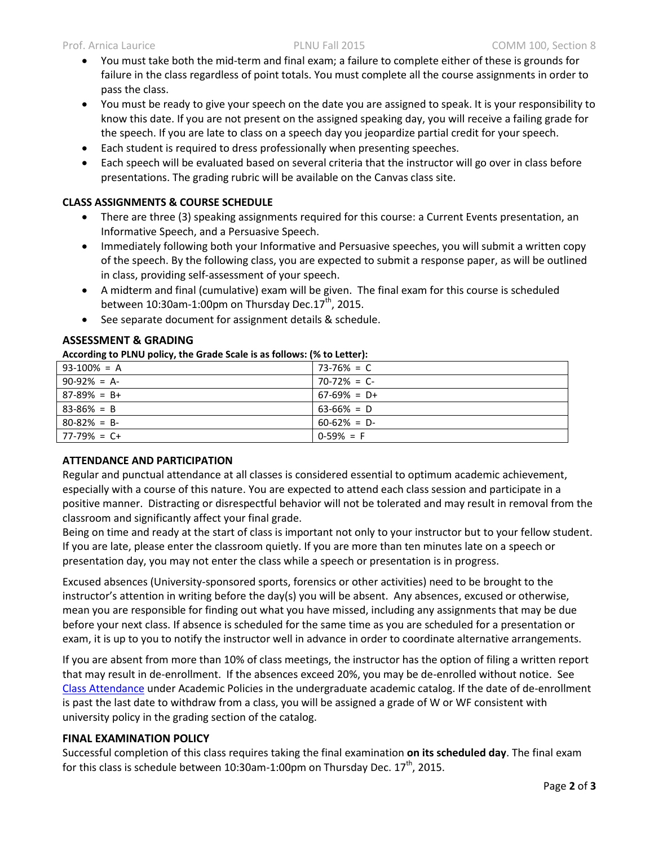- You must take both the mid-term and final exam; a failure to complete either of these is grounds for failure in the class regardless of point totals. You must complete all the course assignments in order to pass the class.
- You must be ready to give your speech on the date you are assigned to speak. It is your responsibility to know this date. If you are not present on the assigned speaking day, you will receive a failing grade for the speech. If you are late to class on a speech day you jeopardize partial credit for your speech.
- Each student is required to dress professionally when presenting speeches.
- Each speech will be evaluated based on several criteria that the instructor will go over in class before presentations. The grading rubric will be available on the Canvas class site.

# **CLASS ASSIGNMENTS & COURSE SCHEDULE**

- There are three (3) speaking assignments required for this course: a Current Events presentation, an Informative Speech, and a Persuasive Speech.
- Immediately following both your Informative and Persuasive speeches, you will submit a written copy of the speech. By the following class, you are expected to submit a response paper, as will be outlined in class, providing self-assessment of your speech.
- A midterm and final (cumulative) exam will be given. The final exam for this course is scheduled between  $10:30$ am-1:00pm on Thursday Dec. $17<sup>th</sup>$ , 2015.
- See separate document for assignment details & schedule.

# **ASSESSMENT & GRADING**

#### **According to PLNU policy, the Grade Scale is as follows: (% to Letter):**

| . .             |                |
|-----------------|----------------|
| $93-100\% = A$  | 73-76% = C     |
| $90-92\% = A$   | $70-72\% = C$  |
| $87-89\% = B+$  | $67-69\% = D+$ |
| $83 - 86\% = B$ | $63-66\% = D$  |
| $80 - 82\% = B$ | $60-62\% = D$  |
| $77-79\% = C+$  | $0-59\% = F$   |

# **ATTENDANCE AND PARTICIPATION**

Regular and punctual attendance at all classes is considered essential to optimum academic achievement, especially with a course of this nature. You are expected to attend each class session and participate in a positive manner. Distracting or disrespectful behavior will not be tolerated and may result in removal from the classroom and significantly affect your final grade.

Being on time and ready at the start of class is important not only to your instructor but to your fellow student. If you are late, please enter the classroom quietly. If you are more than ten minutes late on a speech or presentation day, you may not enter the class while a speech or presentation is in progress.

Excused absences (University-sponsored sports, forensics or other activities) need to be brought to the instructor's attention in writing before the day(s) you will be absent. Any absences, excused or otherwise, mean you are responsible for finding out what you have missed, including any assignments that may be due before your next class. If absence is scheduled for the same time as you are scheduled for a presentation or exam, it is up to you to notify the instructor well in advance in order to coordinate alternative arrangements.

If you are absent from more than 10% of class meetings, the instructor has the option of filing a written report that may result in de-enrollment. If the absences exceed 20%, you may be de-enrolled without notice. See Class [Attendance](http://catalog.pointloma.edu/content.php?catoid=18&navoid=1278#Class_Attendance) under Academic Policies in the undergraduate academic catalog. If the date of de-enrollment is past the last date to withdraw from a class, you will be assigned a grade of W or WF consistent with university policy in the grading section of the catalog.

# **FINAL EXAMINATION POLICY**

Successful completion of this class requires taking the final examination **on its scheduled day**. The final exam for this class is schedule between 10:30am-1:00pm on Thursday Dec.  $17<sup>th</sup>$ , 2015.